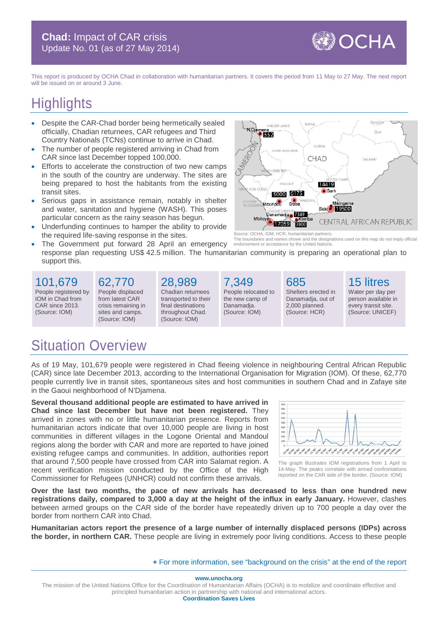**WOCHA** 

This report is produced by OCHA Chad in collaboration with humanitarian partners. It covers the period from 11 May to 27 May. The next report will be issued on or around 3 June.

# **Highlights**

- Despite the CAR-Chad border being hermetically sealed officially, Chadian returnees, CAR refugees and Third Country Nationals (TCNs) continue to arrive in Chad.
- The number of people registered arriving in Chad from CAR since last December topped 100,000.
- Efforts to accelerate the construction of two new camps in the south of the country are underway. The sites are being prepared to host the habitants from the existing transit sites.
- Serious gaps in assistance remain, notably in shelter and water, sanitation and hygiene (WASH). This poses particular concern as the rainy season has begun.
- Underfunding continues to hamper the ability to provide the required life-saving response in the sites.
	- The Government put forward 28 April an emergency response plan requesting US\$ 42.5 million. The humanitarian community is preparing an operational plan to support this. Source: OCHA, IOM, HCR, humanitarian partners. The boundaries and names shown and the designations used on this map do not imply official endorsement or acceptance by the United Nations.

101,679 People registered by IOM in Chad from CAR since 2013. (Source: IOM)

62,770 People displaced from latest CAR crisis remaining in sites and camps. (Source: IOM)

#### 28,989

Chadian returnees transported to their final destinations throughout Chad. (Source: IOM)

7,349 People relocated to the new camp of Danamadja. (Source: IOM)

Shelters erected in Danamadja, out of 2,000 planned. (Source: HCR)

GUER/

CHAD

14419  $\bullet$  Sark

Sido

Maingama 19500

685

HADJER LAMIS

CHARI BAGL

TANDJILE

5000 6175

Danamadja **1849** 

17059 8800

**Dob** 

oundou

Mbitoy

652

**N'Dian** 

15 litres

**CENTRAL AFRICAN REPUBLIC** 

**ÖUADDA** 

SILA

Water per day per person available in every transit site. (Source: UNICEF)

## Situation Overview

As of 19 May, 101,679 people were registered in Chad fleeing violence in neighbouring Central African Republic (CAR) since late December 2013, according to the International Organisation for Migration (IOM). Of these, 62,770 people currently live in transit sites, spontaneous sites and host communities in southern Chad and in Zafaye site in the Gaoui neighborhood of N'Djamena.

**Several thousand additional people are estimated to have arrived in Chad since last December but have not been registered.** They arrived in zones with no or little humanitarian presence. Reports from humanitarian actors indicate that over 10,000 people are living in host communities in different villages in the Logone Oriental and Mandoul regions along the border with CAR and more are reported to have joined existing refugee camps and communities. In addition, authorities report that around 7,500 people have crossed from CAR into Salamat region. A recent verification mission conducted by the Office of the High Commissioner for Refugees (UNHCR) could not confirm these arrivals.



The graph illustrates IOM registrations from 1 April to 14-May. The peaks correlate with armed confrontations reported on the CAR side of the border. (Source: IOM)

**Over the last two months, the pace of new arrivals has decreased to less than one hundred new registrations daily, compared to 3,000 a day at the height of the influx in early January.** However, clashes between armed groups on the CAR side of the border have repeatedly driven up to 700 people a day over the border from northern CAR into Chad.

**Humanitarian actors report the presence of a large number of internally displaced persons (IDPs) across the border, in northern CAR.** These people are living in extremely poor living conditions. Access to these people

#### **+** For [more information, see "background on the crisis" at the end of the report](#page-2-0)

**www.unocha.org**

The mission of the United Nations Office for the Coordination of Humanitarian Affairs (OCHA) is to mobilize and coordinate effective and principled humanitarian action in partnership with national and international actors. **Coordination Saves Lives**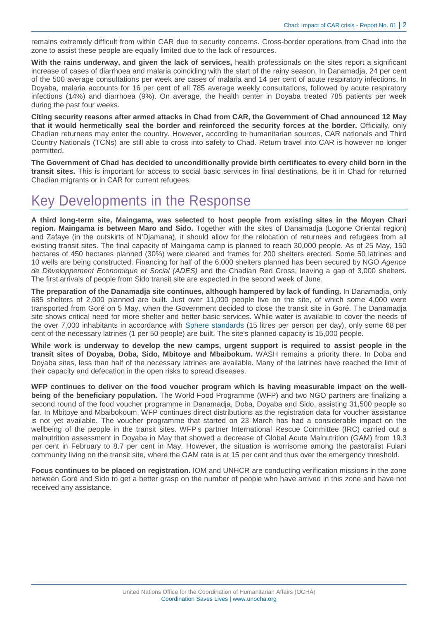remains extremely difficult from within CAR due to security concerns. Cross-border operations from Chad into the zone to assist these people are equally limited due to the lack of resources.

**With the rains underway, and given the lack of services,** health professionals on the sites report a significant increase of cases of diarrhoea and malaria coinciding with the start of the rainy season. In Danamadja, 24 per cent of the 500 average consultations per week are cases of malaria and 14 per cent of acute respiratory infections. In Doyaba, malaria accounts for 16 per cent of all 785 average weekly consultations, followed by acute respiratory infections (14%) and diarrhoea (9%). On average, the health center in Doyaba treated 785 patients per week during the past four weeks.

**Citing security reasons after armed attacks in Chad from CAR, the Government of Chad announced 12 May that it would hermetically seal the border and reinforced the security forces at the border.** Officially, only Chadian returnees may enter the country. However, according to humanitarian sources, CAR nationals and Third Country Nationals (TCNs) are still able to cross into safety to Chad. Return travel into CAR is however no longer permitted.

**The Government of Chad has decided to unconditionally provide birth certificates to every child born in the transit sites.** This is important for access to social basic services in final destinations, be it in Chad for returned Chadian migrants or in CAR for current refugees.

### Key Developments in the Response

**A third long-term site, Maingama, was selected to host people from existing sites in the Moyen Chari region. Maingama is between Maro and Sido.** Together with the sites of Danamadja (Logone Oriental region) and Zafaye (in the outskirts of N'Djamana), it should allow for the relocation of returnees and refugees from all existing transit sites. The final capacity of Maingama camp is planned to reach 30,000 people. As of 25 May, 150 hectares of 450 hectares planned (30%) were cleared and frames for 200 shelters erected. Some 50 latrines and 10 wells are being constructed. Financing for half of the 6,000 shelters planned has been secured by NGO *Agence de Développement Economique et Social (ADES)* and the Chadian Red Cross, leaving a gap of 3,000 shelters. The first arrivals of people from Sido transit site are expected in the second week of June.

**The preparation of the Danamadja site continues, although hampered by lack of funding.** In Danamadja, only 685 shelters of 2,000 planned are built. Just over 11,000 people live on the site, of which some 4,000 were transported from Goré on 5 May, when the Government decided to close the transit site in Goré. The Danamadja site shows critical need for more shelter and better basic services. While water is available to cover the needs of the over 7,000 inhabitants in accordance with [Sphere standards](http://www.spherehandbook.org/) (15 litres per person per day), only some 68 per cent of the necessary latrines (1 per 50 people) are built. The site's planned capacity is 15,000 people.

**While work is underway to develop the new camps, urgent support is required to assist people in the transit sites of Doyaba, Doba, Sido, Mbitoye and Mbaibokum.** WASH remains a priority there. In Doba and Doyaba sites, less than half of the necessary latrines are available. Many of the latrines have reached the limit of their capacity and defecation in the open risks to spread diseases.

**WFP continues to deliver on the food voucher program which is having measurable impact on the wellbeing of the beneficiary population.** The World Food Programme (WFP) and two NGO partners are finalizing a second round of the food voucher programme in Danamadja, Doba, Doyaba and Sido, assisting 31,500 people so far. In Mbitoye and Mbaibokoum, WFP continues direct distributions as the registration data for voucher assistance is not yet available. The voucher programme that started on 23 March has had a considerable impact on the wellbeing of the people in the transit sites. WFP's partner International Rescue Committee (IRC) carried out a malnutrition assessment in Doyaba in May that showed a decrease of Global Acute Malnutrition (GAM) from 19.3 per cent in February to 8.7 per cent in May. However, the situation is worrisome among the pastoralist Fulani community living on the transit site, where the GAM rate is at 15 per cent and thus over the emergency threshold.

**Focus continues to be placed on registration.** IOM and UNHCR are conducting verification missions in the zone between Goré and Sido to get a better grasp on the number of people who have arrived in this zone and have not received any assistance.